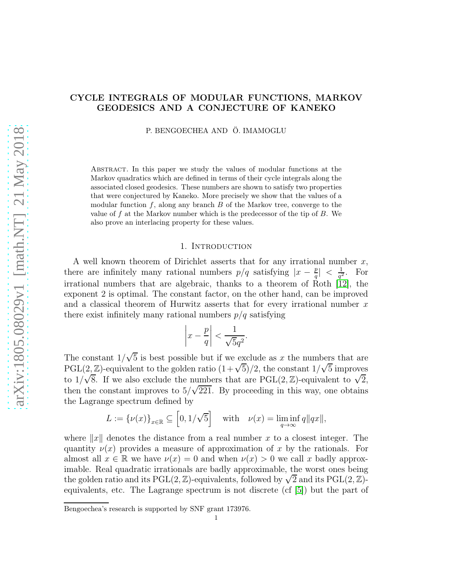# CYCLE INTEGRALS OF MODULAR FUNCTIONS, MARKOV GEODESICS AND A CONJECTURE OF KANEKO

P. BENGOECHEA AND Ö. IMAMOGLU

Abstract. In this paper we study the values of modular functions at the Markov quadratics which are defined in terms of their cycle integrals along the associated closed geodesics. These numbers are shown to satisfy two properties that were conjectured by Kaneko. More precisely we show that the values of a modular function  $f$ , along any branch  $B$  of the Markov tree, converge to the value of  $f$  at the Markov number which is the predecessor of the tip of  $B$ . We also prove an interlacing property for these values.

#### 1. Introduction

A well known theorem of Dirichlet asserts that for any irrational number  $x$ , there are infinitely many rational numbers  $p/q$  satisfying  $|x-\frac{p}{q}|$  $\frac{p}{q}| \, < \, \frac{1}{q^2}$  $\frac{1}{q^2}$ . For irrational numbers that are algebraic, thanks to a theorem of Roth [\[12\]](#page-19-0), the exponent 2 is optimal. The constant factor, on the other hand, can be improved and a classical theorem of Hurwitz asserts that for every irrational number  $x$ there exist infinitely many rational numbers  $p/q$  satisfying

$$
\left|x - \frac{p}{q}\right| < \frac{1}{\sqrt{5}q^2}.
$$

The constant  $1/\sqrt{5}$  is best possible but if we exclude as x the numbers that are PGL $(2,\mathbb{Z})$ -equivalent to the golden ratio  $(1+\sqrt{5})/2$ , the constant  $1/\sqrt{5}$  improves to  $1/\sqrt{8}$ . If we also exclude the numbers that are PGL(2, Z)-equivalent to  $\sqrt{2}$ , then the constant improves to  $5/\sqrt{221}$ . By proceeding in this way, one obtains the Lagrange spectrum defined by

$$
L:=\{\nu(x)\}_{x\in\mathbb{R}}\subseteq \left[0,1/\sqrt{5}\right] \quad \text{with} \quad \nu(x)=\liminf_{q\to\infty}q\|qx\|,
$$

where  $||x||$  denotes the distance from a real number x to a closest integer. The quantity  $\nu(x)$  provides a measure of approximation of x by the rationals. For almost all  $x \in \mathbb{R}$  we have  $\nu(x) = 0$  and when  $\nu(x) > 0$  we call x badly approximable. Real quadratic irrationals are badly approximable, the worst ones being the golden ratio and its  $PGL(2, \mathbb{Z})$ -equivalents, followed by  $\sqrt{2}$  and its  $PGL(2, \mathbb{Z})$ equivalents, etc. The Lagrange spectrum is not discrete (cf [\[5\]](#page-19-1)) but the part of

Bengoechea's research is supported by SNF grant 173976.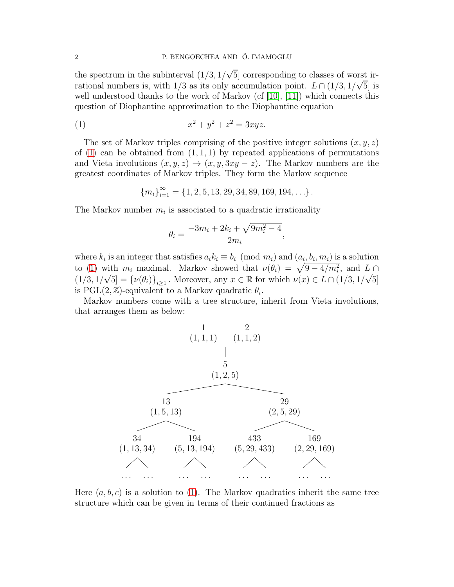the spectrum in the subinterval  $(1/3, 1/\sqrt{5}]$  corresponding to classes of worst irrational numbers is, with  $1/3$  as its only accumulation point.  $L \cap (1/3, 1/\sqrt{5}]$  is well understood thanks to the work of Markov (cf  $[10]$ ,  $[11]$ ) which connects this question of Diophantine approximation to the Diophantine equation

(1) 
$$
x^2 + y^2 + z^2 = 3xyz.
$$

The set of Markov triples comprising of the positive integer solutions  $(x, y, z)$ of  $(1)$  can be obtained from  $(1, 1, 1)$  by repeated applications of permutations and Vieta involutions  $(x, y, z) \rightarrow (x, y, 3xy - z)$ . The Markov numbers are the greatest coordinates of Markov triples. They form the Markov sequence

<span id="page-1-0"></span>
$$
{m_i}_{i=1}^{\infty} = {1, 2, 5, 13, 29, 34, 89, 169, 194, \ldots}.
$$

The Markov number  $m_i$  is associated to a quadratic irrationality

$$
\theta_i = \frac{-3m_i + 2k_i + \sqrt{9m_i^2 - 4}}{2m_i},
$$

where  $k_i$  is an integer that satisfies  $a_i k_i \equiv b_i \pmod{m_i}$  and  $(a_i, b_i, m_i)$  is a solution to [\(1\)](#page-1-0) with  $m_i$  maximal. Markov showed that  $\nu(\theta_i) = \sqrt{9 - 4/m_i^2}$ , and  $L \cap$  $(1/3, 1/\sqrt{5}] = {\nu(\theta_i)}_{i \geq 1}$ . Moreover, any  $x \in \mathbb{R}$  for which  $\nu(x) \in L \cap (1/3, 1/\sqrt{5}]$ is PGL $(2, \mathbb{Z})$ -equivalent to a Markov quadratic  $\theta_i$ .

Markov numbers come with a tree structure, inherit from Vieta involutions, that arranges them as below:



Here  $(a, b, c)$  is a solution to [\(1\)](#page-1-0). The Markov quadratics inherit the same tree structure which can be given in terms of their continued fractions as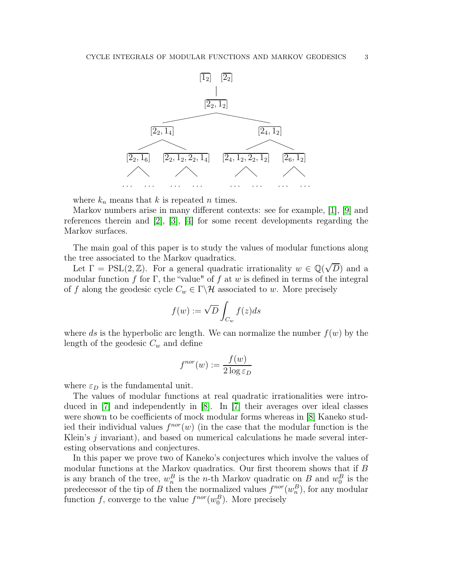

where  $k_n$  means that k is repeated n times.

Markov numbers arise in many different contexts: see for example, [\[1\]](#page-19-4), [\[9\]](#page-19-5) and references therein and [\[2\]](#page-19-6), [\[3\]](#page-19-7), [\[4\]](#page-19-8) for some recent developments regarding the Markov surfaces.

The main goal of this paper is to study the values of modular functions along the tree associated to the Markov quadratics.

Let  $\Gamma = \text{PSL}(2, \mathbb{Z})$ . For a general quadratic irrationality  $w \in \mathbb{Q}(\sqrt{D})$  and a modular function f for Γ, the "value" of f at w is defined in terms of the integral of f along the geodesic cycle  $C_w \in \Gamma \backslash \mathcal{H}$  associated to w. More precisely

$$
f(w) := \sqrt{D} \int_{C_w} f(z) ds
$$

where ds is the hyperbolic arc length. We can normalize the number  $f(w)$  by the length of the geodesic  $C_w$  and define

$$
f^{nor}(w) := \frac{f(w)}{2\log \varepsilon_D}
$$

where  $\varepsilon_D$  is the fundamental unit.

The values of modular functions at real quadratic irrationalities were introduced in [\[7\]](#page-19-9) and independently in [\[8\]](#page-19-10). In [\[7\]](#page-19-9) their averages over ideal classes were shown to be coefficients of mock modular forms whereas in [\[8\]](#page-19-10) Kaneko studied their individual values  $f^{nor}(w)$  (in the case that the modular function is the Klein's  $j$  invariant), and based on numerical calculations he made several interesting observations and conjectures.

In this paper we prove two of Kaneko's conjectures which involve the values of modular functions at the Markov quadratics. Our first theorem shows that if B is any branch of the tree,  $w_n^B$  is the *n*-th Markov quadratic on B and  $w_0^B$  is the predecessor of the tip of B then the normalized values  $f^{nor}(w_n^B)$ , for any modular function f, converge to the value  $f^{nor}(w_0^B)$ . More precisely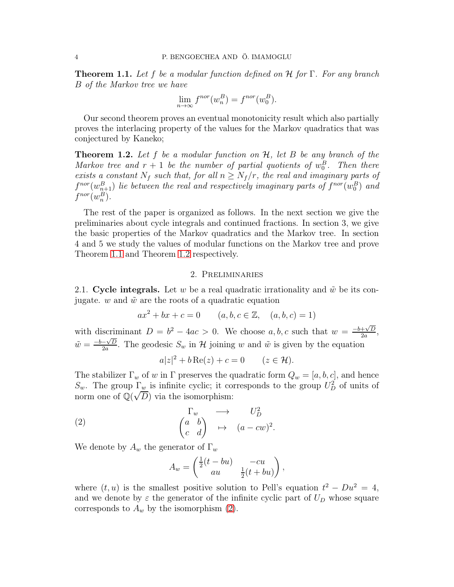<span id="page-3-0"></span>Theorem 1.1. *Let* f *be a modular function defined on* H *for* Γ*. For any branch* B *of the Markov tree we have*

$$
\lim_{n \to \infty} f^{nor}(w_n^B) = f^{nor}(w_0^B).
$$

Our second theorem proves an eventual monotonicity result which also partially proves the interlacing property of the values for the Markov quadratics that was conjectured by Kaneko;

<span id="page-3-1"></span>Theorem 1.2. *Let* f *be a modular function on* H*, let* B *be any branch of the Markov tree and*  $r + 1$  *be the number of partial quotients of*  $w_0^B$ *. Then there exists a constant*  $N_f$  *such that, for all*  $n \geq N_f/r$ *, the real and imaginary parts of*  $f^{nor}(w_{n+1}^B)$  *lie between the real and respectively imaginary parts of*  $f^{nor}(w_0^B)$  *and*  $f^{nor}(w_n^B)$ .

The rest of the paper is organized as follows. In the next section we give the preliminaries about cycle integrals and continued fractions. In section 3, we give the basic properties of the Markov quadratics and the Markov tree. In section 4 and 5 we study the values of modular functions on the Markov tree and prove Theorem [1.1](#page-3-0) and Theorem [1.2](#page-3-1) respectively.

### 2. Preliminaries

2.1. Cycle integrals. Let w be a real quadratic irrationality and  $\tilde{w}$  be its conjugate. w and  $\tilde{w}$  are the roots of a quadratic equation

$$
ax^{2} + bx + c = 0
$$
  $(a, b, c \in \mathbb{Z}, (a, b, c) = 1)$ 

with discriminant  $D = b^2 - 4ac > 0$ . We choose  $a, b, c$  such that  $w = \frac{-b + \sqrt{D}}{2a}$  $\frac{+\sqrt{D}}{2a},$  $\tilde{w} = \frac{-b - \sqrt{D}}{2a}$  $\frac{-\sqrt{D}}{2a}$ . The geodesic  $S_w$  in H joining w and  $\tilde{w}$  is given by the equation

$$
a|z|^2 + b\operatorname{Re}(z) + c = 0 \qquad (z \in \mathcal{H}).
$$

The stabilizer  $\Gamma_w$  of w in  $\Gamma$  preserves the quadratic form  $Q_w = [a, b, c]$ , and hence  $S_w$ . The group  $\Gamma_w$  is infinite cyclic; it corresponds to the group  $U_D^2$  of units of norm one of  $\mathbb{Q}(\sqrt{D})$  via the isomorphism:

(2) 
$$
\begin{array}{ccc}\n\Gamma_w & \longrightarrow & U_D^2 \\
\begin{pmatrix} a & b \\ c & d \end{pmatrix} & \mapsto & (a - cw)^2.\n\end{array}
$$

We denote by  $A_w$  the generator of  $\Gamma_w$ 

<span id="page-3-2"></span>
$$
A_w = \begin{pmatrix} \frac{1}{2}(t - bu) & -cu \\ au & \frac{1}{2}(t + bu) \end{pmatrix},
$$

where  $(t, u)$  is the smallest positive solution to Pell's equation  $t^2 - Du^2 = 4$ , and we denote by  $\varepsilon$  the generator of the infinite cyclic part of  $U_D$  whose square corresponds to  $A_w$  by the isomorphism [\(2\)](#page-3-2).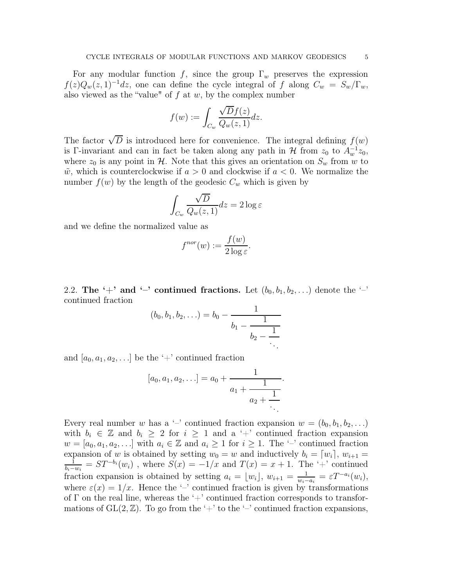For any modular function f, since the group  $\Gamma_w$  preserves the expression  $f(z)Q_w(z, 1)^{-1}dz$ , one can define the cycle integral of f along  $C_w = S_w/\Gamma_w$ , also viewed as the "value" of  $f$  at  $w$ , by the complex number

$$
f(w) := \int_{C_w} \frac{\sqrt{D}f(z)}{Q_w(z, 1)} dz.
$$

The factor  $\sqrt{D}$  is introduced here for convenience. The integral defining  $f(w)$ is Γ-invariant and can in fact be taken along any path in  $\mathcal H$  from  $z_0$  to  $A_w^{-1}z_0$ , where  $z_0$  is any point in H. Note that this gives an orientation on  $S_w$  from w to  $\tilde{w}$ , which is counterclockwise if  $a > 0$  and clockwise if  $a < 0$ . We normalize the number  $f(w)$  by the length of the geodesic  $C_w$  which is given by

$$
\int_{C_w} \frac{\sqrt{D}}{Q_w(z,1)} dz = 2 \log \varepsilon
$$

and we define the normalized value as

$$
f^{nor}(w) := \frac{f(w)}{2\log \varepsilon}.
$$

2.2. The '+' and '-' continued fractions. Let  $(b_0, b_1, b_2, ...)$  denote the '-' continued fraction

$$
(b_0, b_1, b_2, \ldots) = b_0 - \cfrac{1}{b_1 - \cfrac{1}{b_2 - \cfrac{1}{\ddots}}}
$$

and  $[a_0, a_1, a_2, \ldots]$  be the '+' continued fraction

$$
[a_0, a_1, a_2, \ldots] = a_0 + \cfrac{1}{a_1 + \cfrac{1}{a_2 + \cfrac{1}{\ddots}}}.
$$

Every real number w has a '-' continued fraction expansion  $w = (b_0, b_1, b_2, \ldots)$ with  $b_i \in \mathbb{Z}$  and  $b_i \geq 2$  for  $i \geq 1$  and a '+' continued fraction expansion  $w = [a_0, a_1, a_2, \ldots]$  with  $a_i \in \mathbb{Z}$  and  $a_i \geq 1$  for  $i \geq 1$ . The '-' continued fraction expansion of w is obtained by setting  $w_0 = w$  and inductively  $b_i = [w_i], w_{i+1} =$  $\frac{1}{-w_i} = ST^{-b_i}(w_i)$ , where  $S(x) = -1/x$  and  $T(x) = x + 1$ . The '+' continued  $\frac{b_i-w_i}{a}$ fraction expansion is obtained by setting  $a_i = \lfloor w_i \rfloor, w_{i+1} = \frac{1}{w_i-1}$  $\frac{1}{w_i-a_i} = \varepsilon T^{-a_i}(w_i),$ where  $\varepsilon(x) = 1/x$ . Hence the '-' continued fraction is given by transformations of  $\Gamma$  on the real line, whereas the '+' continued fraction corresponds to transformations of  $GL(2, \mathbb{Z})$ . To go from the '+' to the '-' continued fraction expansions,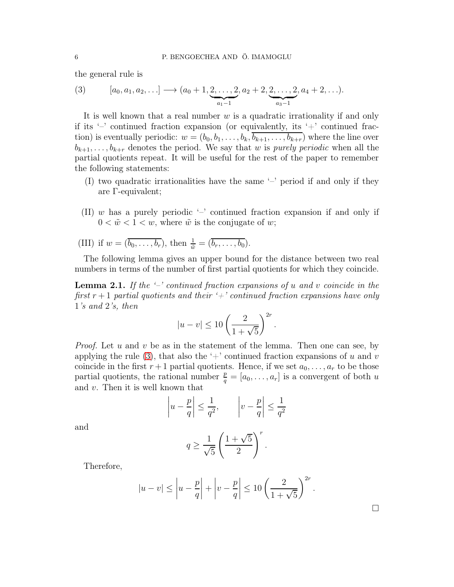the general rule is

<span id="page-5-0"></span>(3) 
$$
[a_0, a_1, a_2,...] \longrightarrow (a_0 + 1, \underbrace{2, ..., 2}_{a_1-1}, a_2 + 2, \underbrace{2, ..., 2}_{a_3-1}, a_4 + 2,...).
$$

It is well known that a real number  $w$  is a quadratic irrationality if and only if its  $\prime$  - continued fraction expansion (or equivalently, its  $\prime$  + continued fraction) is eventually periodic:  $w = (b_0, b_1, \ldots, b_k, \overline{b_{k+1}, \ldots, b_{k+r}})$  where the line over  $b_{k+1}, \ldots, b_{k+r}$  denotes the period. We say that w is *purely periodic* when all the partial quotients repeat. It will be useful for the rest of the paper to remember the following statements:

- (I) two quadratic irrationalities have the same '–' period if and only if they are Γ-equivalent;
- (II) w has a purely periodic  $-$  continued fraction expansion if and only if  $0 < \tilde{w} < 1 < w$ , where  $\tilde{w}$  is the conjugate of w;
- (III) if  $w = (\overline{b_0, \ldots, b_r})$ , then  $\frac{1}{\tilde{w}} = (\overline{b_r, \ldots, b_0})$ .

The following lemma gives an upper bound for the distance between two real numbers in terms of the number of first partial quotients for which they coincide.

<span id="page-5-1"></span>Lemma 2.1. *If the '–' continued fraction expansions of* u *and* v *coincide in the first*  $r + 1$  *partial quotients and their*  $\left\langle \right\rangle$  *+ ' continued fraction expansions have only* 1*'s and* 2*'s, then*

$$
|u - v| \le 10 \left(\frac{2}{1 + \sqrt{5}}\right)^{2r}
$$

.

*Proof.* Let u and v be as in the statement of the lemma. Then one can see, by applying the rule [\(3\)](#page-5-0), that also the '+' continued fraction expansions of u and v coincide in the first  $r+1$  partial quotients. Hence, if we set  $a_0, \ldots, a_r$  to be those partial quotients, the rational number  $\frac{p}{q} = [a_0, \ldots, a_r]$  is a convergent of both u and v. Then it is well known that

$$
\left| u - \frac{p}{q} \right| \le \frac{1}{q^2}, \qquad \left| v - \frac{p}{q} \right| \le \frac{1}{q^2}
$$

and

$$
q \ge \frac{1}{\sqrt{5}} \left( \frac{1+\sqrt{5}}{2} \right)^r.
$$

Therefore,

$$
|u - v| \le \left| u - \frac{p}{q} \right| + \left| v - \frac{p}{q} \right| \le 10 \left( \frac{2}{1 + \sqrt{5}} \right)^{2r}.
$$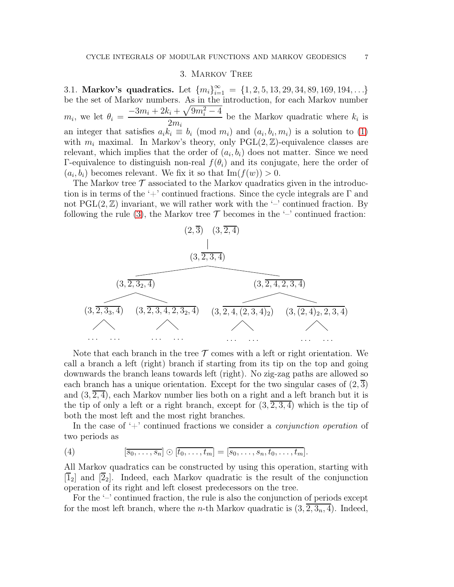#### 3. Markov Tree

3.1. Markov's quadratics. Let  ${m_i}_{i=1}^{\infty} = {1, 2, 5, 13, 29, 34, 89, 169, 194, \ldots}$ be the set of Markov numbers. As in the introduction, for each Markov number  $m_i$ , we let  $\theta_i = \frac{-3m_i + 2k_i + \sqrt{9m_i^2 - 4k_i^2}}{2m_i^2}$  $2m_i$ be the Markov quadratic where  $k_i$  is an integer that satisfies  $a_i k_i \equiv b_i \pmod{m_i}$  and  $(a_i, b_i, m_i)$  is a solution to [\(1\)](#page-1-0) with  $m_i$  maximal. In Markov's theory, only PGL $(2, \mathbb{Z})$ -equivalence classes are relevant, which implies that the order of  $(a_i, b_i)$  does not matter. Since we need Γ-equivalence to distinguish non-real  $f(θ<sub>i</sub>)$  and its conjugate, here the order of  $(a_i, b_i)$  becomes relevant. We fix it so that  $\text{Im}(f(w)) > 0$ .

The Markov tree  $\mathcal T$  associated to the Markov quadratics given in the introduction is in terms of the '+' continued fractions. Since the cycle integrals are  $\Gamma$  and not  $PGL(2, \mathbb{Z})$  invariant, we will rather work with the '-' continued fraction. By following the rule [\(3\)](#page-5-0), the Markov tree  $\mathcal T$  becomes in the '-' continued fraction:



Note that each branch in the tree  $\mathcal T$  comes with a left or right orientation. We call a branch a left (right) branch if starting from its tip on the top and going downwards the branch leans towards left (right). No zig-zag paths are allowed so each branch has a unique orientation. Except for the two singular cases of  $(2,3)$ and  $(3, 2, 4)$ , each Markov number lies both on a right and a left branch but it is the tip of only a left or a right branch, except for  $(3, \overline{2, 3, 4})$  which is the tip of both the most left and the most right branches.

In the case of '+' continued fractions we consider a *conjunction operation* of two periods as

(4) 
$$
[\overline{s_0,\ldots,s_n}] \odot [\overline{t_0,\ldots,t_m}] = [\overline{s_0,\ldots,s_n,t_0,\ldots,t_m}].
$$

All Markov quadratics can be constructed by using this operation, starting with  $\mathcal{F}_2$  and  $\mathcal{F}_2$ . Indeed, each Markov quadratic is the result of the conjunction operation of its right and left closest predecessors on the tree.

For the '–' continued fraction, the rule is also the conjunction of periods except for the most left branch, where the *n*-th Markov quadratic is  $(3, 2, 3<sub>n</sub>, 4)$ . Indeed,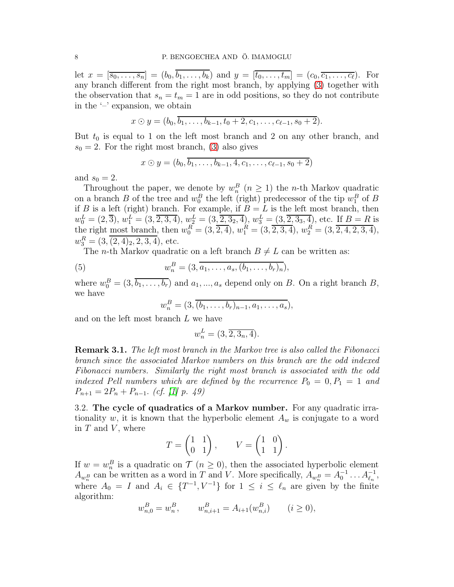let  $x = [\overline{s_0, \ldots, s_n}] = (b_0, \overline{b_1, \ldots, b_k})$  and  $y = [\overline{t_0, \ldots, t_m}] = (c_0, \overline{c_1, \ldots, c_\ell})$ . For any branch different from the right most branch, by applying [\(3\)](#page-5-0) together with the observation that  $s_n = t_m = 1$  are in odd positions, so they do not contribute in the '–' expansion, we obtain

$$
x \odot y = (b_0, \overline{b_1, \ldots, b_{k-1}, t_0 + 2, c_1, \ldots, c_{\ell-1}, s_0 + 2}).
$$

But  $t_0$  is equal to 1 on the left most branch and 2 on any other branch, and  $s_0 = 2$ . For the right most branch, [\(3\)](#page-5-0) also gives

$$
x \odot y = (b_0, \overline{b_1, \ldots, b_{k-1}, 4, c_1, \ldots, c_{\ell-1}, s_0 + 2})
$$

and  $s_0 = 2$ .

Throughout the paper, we denote by  $w_n^B$   $(n \geq 1)$  the n-th Markov quadratic on a branch  $B$  of the tree and  $w_0^B$  the left (right) predecessor of the tip  $w_1^B$  of  $B$ if B is a left (right) branch. For example, if  $B = L$  is the left most branch, then  $w_0^L = (2, \overline{3}), w_1^L = (3, \overline{2, 3, 4}), w_2^L = (3, \overline{2, 3, 4}), w_3^L = (3, \overline{2, 3, 4}), \text{ etc.}$  If  $B = R$  is the right <u>most branch</u>, then  $w_0^R = (3, \overline{2, 4})$ ,  $w_1^R = (3, \overline{2, 3, 4})$ ,  $w_2^R = (3, \overline{2, 4, 2, 3, 4})$ ,  $w_3^R = (3, \overline{(2, 4)_2, 2, 3, 4})$ , etc.

The *n*-th Markov quadratic on a left branch  $B \neq L$  can be written as:

(5) 
$$
w_n^B = (3, a_1, \ldots, a_s, (b_1, \ldots, b_r)_n),
$$

where  $w_0^B = (3, b_1, \ldots, b_r)$  and  $a_1, \ldots, a_s$  depend only on B. On a right branch B, we have

<span id="page-7-0"></span>
$$
w_n^B = (3, \overline{(b_1, \ldots, b_r)_{n-1}, a_1, \ldots, a_s}),
$$

and on the left most branch L we have

$$
w_n^L = (3, \overline{2, 3_n, 4}).
$$

Remark 3.1. *The left most branch in the Markov tree is also called the Fibonacci branch since the associated Markov numbers on this branch are the odd indexed Fibonacci numbers. Similarly the right most branch is associated with the odd indexed Pell numbers which are defined by the recurrence*  $P_0 = 0, P_1 = 1$  and  $P_{n+1} = 2P_n + P_{n-1}$ . *(cf.* [\[1\]](#page-19-4) p. 49)

3.2. The cycle of quadratics of a Markov number. For any quadratic irrationality w, it is known that the hyperbolic element  $A_w$  is conjugate to a word in  $T$  and  $V$ , where

$$
T = \begin{pmatrix} 1 & 1 \\ 0 & 1 \end{pmatrix}, \qquad V = \begin{pmatrix} 1 & 0 \\ 1 & 1 \end{pmatrix}.
$$

If  $w = w_n^B$  is a quadratic on  $\mathcal{T}$   $(n \geq 0)$ , then the associated hyperbolic element  $A_{w_n^B}$  can be written as a word in T and V. More specifically,  $A_{w_n^B} = A_0^{-1} \dots A_{\ell_n}^{-1}$ , where  $A_0 = I$  and  $A_i \in \{T^{-1}, V^{-1}\}$  for  $1 \leq i \leq \ell_n$  are given by the finite algorithm:

$$
w_{n,0}^B = w_n^B, \qquad w_{n,i+1}^B = A_{i+1}(w_{n,i}^B) \qquad (i \ge 0),
$$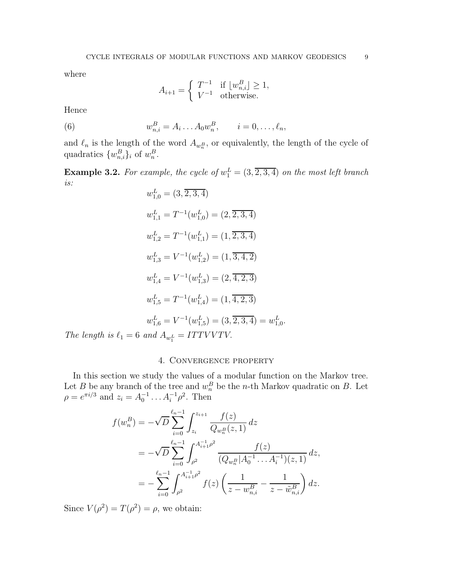where

$$
A_{i+1} = \begin{cases} T^{-1} & \text{if } \lfloor w_{n,i}^B \rfloor \ge 1, \\ V^{-1} & \text{otherwise.} \end{cases}
$$

Hence

(6) 
$$
w_{n,i}^{B} = A_i \dots A_0 w_n^{B}, \qquad i = 0, \dots, \ell_n,
$$

and  $\ell_n$  is the length of the word  $A_{w_n^B}$ , or equivalently, the length of the cycle of quadratics  $\{w_{n,i}^B\}_i$  of  $w_n^B$ .

**Example 3.2.** For example, the cycle of  $w_1^L = (3, \overline{2, 3, 4})$  on the most left branch *is:*

$$
w_{1,0}^L = (3, \overline{2, 3, 4})
$$
  
\n
$$
w_{1,1}^L = T^{-1}(w_{1,0}^L) = (2, \overline{2, 3, 4})
$$
  
\n
$$
w_{1,2}^L = T^{-1}(w_{1,1}^L) = (1, \overline{2, 3, 4})
$$
  
\n
$$
w_{1,3}^L = V^{-1}(w_{1,2}^L) = (1, \overline{3, 4, 2})
$$
  
\n
$$
w_{1,4}^L = V^{-1}(w_{1,3}^L) = (2, \overline{4, 2, 3})
$$
  
\n
$$
w_{1,5}^L = T^{-1}(w_{1,4}^L) = (1, \overline{4, 2, 3})
$$
  
\n
$$
w_{1,6}^L = V^{-1}(w_{1,5}^L) = (3, \overline{2, 3, 4}) = w_{1,0}^L
$$
  
\n
$$
and A_{-L} = ITTVVVTV
$$

*The length is*  $\ell_1 = 6$  *and*  $A_{w_1^L}$  $ITTVVI$ 

## 4. Convergence property

.

In this section we study the values of a modular function on the Markov tree. Let B be any branch of the tree and  $w_n^B$  be the n-th Markov quadratic on B. Let  $\rho = e^{\pi i/3}$  and  $z_i = A_0^{-1} \dots A_i^{-1} \rho^2$ . Then

$$
f(w_n^B) = -\sqrt{D} \sum_{i=0}^{\ell_n - 1} \int_{z_i}^{z_{i+1}} \frac{f(z)}{Q_{w_n^B}(z, 1)} dz
$$
  
=  $-\sqrt{D} \sum_{i=0}^{\ell_n - 1} \int_{\rho^2}^{A_{i+1}^{-1} \rho^2} \frac{f(z)}{(Q_{w_n^B} | A_0^{-1} \dots A_i^{-1})(z, 1)} dz$ ,  
=  $-\sum_{i=0}^{\ell_n - 1} \int_{\rho^2}^{A_{i+1}^{-1} \rho^2} f(z) \left(\frac{1}{z - w_{n,i}^B} - \frac{1}{z - \tilde{w}_{n,i}^B}\right) dz$ .

Since  $V(\rho^2) = T(\rho^2) = \rho$ , we obtain: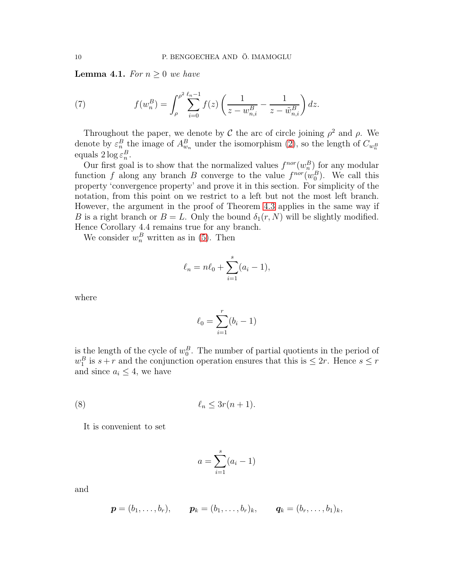<span id="page-9-0"></span>**Lemma 4.1.** *For*  $n \geq 0$  *we have* 

(7) 
$$
f(w_n^B) = \int_{\rho}^{\rho^2} \sum_{i=0}^{\ell_n - 1} f(z) \left( \frac{1}{z - w_{n,i}^B} - \frac{1}{z - \tilde{w}_{n,i}^B} \right) dz.
$$

Throughout the paper, we denote by C the arc of circle joining  $\rho^2$  and  $\rho$ . We denote by  $\varepsilon_n^B$  the image of  $A_{w_n}^B$  under the isomorphism [\(2\)](#page-3-2), so the length of  $C_{w_n^B}$ equals  $2 \log \varepsilon_n^B$ .

Our first goal is to show that the normalized values  $f^{nor}(w_n^B)$  for any modular function f along any branch B converge to the value  $f^{nor}(w_0^B)$ . We call this property 'convergence property' and prove it in this section. For simplicity of the notation, from this point on we restrict to a left but not the most left branch. However, the argument in the proof of Theorem [4.3](#page-10-0) applies in the same way if B is a right branch or  $B = L$ . Only the bound  $\delta_1(r, N)$  will be slightly modified. Hence Corollary 4.4 remains true for any branch.

We consider  $w_n^B$  written as in [\(5\)](#page-7-0). Then

$$
\ell_n = n\ell_0 + \sum_{i=1}^s (a_i - 1),
$$

where

$$
\ell_0 = \sum_{i=1}^r (b_i - 1)
$$

is the length of the cycle of  $w_0^B$ . The number of partial quotients in the period of  $w_1^B$  is  $s+r$  and the conjunction operation ensures that this is  $\leq 2r$ . Hence  $s \leq r$ and since  $a_i \leq 4$ , we have

$$
\ell_n \le 3r(n+1).
$$

It is convenient to set

<span id="page-9-1"></span>
$$
a = \sum_{i=1}^{s} (a_i - 1)
$$

and

$$
\mathbf{p} = (b_1, \ldots, b_r), \quad \mathbf{p}_k = (b_1, \ldots, b_r)_k, \quad \mathbf{q}_k = (b_r, \ldots, b_1)_k,
$$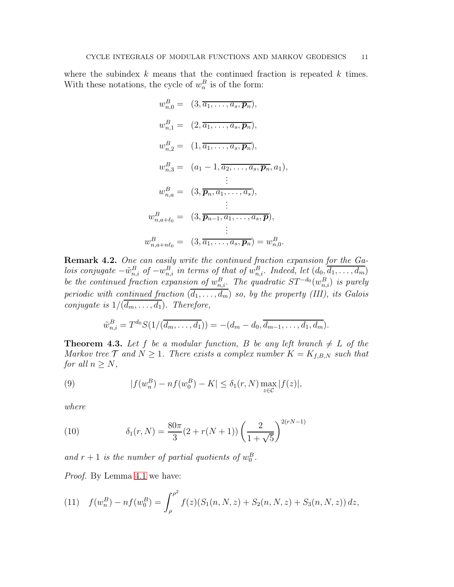where the subindex  $k$  means that the continued fraction is repeated  $k$  times. With these notations, the cycle of  $w_n^B$  is of the form:

$$
w_{n,0}^{B} = (3, \overline{a_1, \ldots, a_s, \mathbf{p}_n}),
$$
  
\n
$$
w_{n,1}^{B} = (2, \overline{a_1, \ldots, a_s, \mathbf{p}_n}),
$$
  
\n
$$
w_{n,2}^{B} = (1, \overline{a_1, \ldots, a_s, \mathbf{p}_n}),
$$
  
\n
$$
w_{n,3}^{B} = (a_1 - 1, \overline{a_2, \ldots, a_s, \mathbf{p}_n}, a_1),
$$
  
\n
$$
\vdots
$$
  
\n
$$
w_{n,a}^{B} = (3, \overline{\mathbf{p}_n, a_1, \ldots, a_s}),
$$
  
\n
$$
\vdots
$$
  
\n
$$
w_{n,a+\ell_0}^{B} = (3, \overline{\mathbf{p}_{n-1}, a_1, \ldots, a_s, \mathbf{p}}),
$$
  
\n
$$
\vdots
$$
  
\n
$$
w_{n,a+\ell_0}^{B} = (3, \overline{a_1, \ldots, a_s, \mathbf{p}_n}) = w_{n,0}^{B}.
$$

<span id="page-10-1"></span>Remark 4.2. *One can easily write the continued fraction expansion for the Galois conjugate*  $-\tilde{w}_{n,i}^B$  *of*  $-w_{n,i}^B$  *in terms of that of*  $w_{n,i}^B$ *. Indeed, let*  $(d_0, \overline{d_1, \ldots, d_m})$ *be the continued fraction expansion of*  $w_{n,i}^B$ . The quadratic  $ST^{-d_0}(w_{n,i}^B)$  is purely *periodic with continued fraction*  $(d_1, \ldots, d_m)$  *so, by the property (III), its Galois conjugate is*  $1/(d_m, \ldots, d_1)$ *. Therefore,* 

$$
\tilde{w}_{n,i}^B = T^{d_0} S(1/(\overline{d_m, \ldots, d_1})) = -(d_m - d_0, \overline{d_{m-1}, \ldots, d_1, d_m}).
$$

<span id="page-10-0"></span>**Theorem 4.3.** Let f be a modular function, B be any left branch  $\neq L$  of the *Markov tree*  $\mathcal{T}$  *and*  $N \geq 1$ *. There exists a complex number*  $K = K_{f,B,N}$  *such that for all*  $n \geq N$ *,* 

(9) 
$$
|f(w_n^B) - nf(w_0^B) - K| \leq \delta_1(r, N) \max_{z \in \mathcal{C}} |f(z)|,
$$

*where*

<span id="page-10-2"></span>(10) 
$$
\delta_1(r,N) = \frac{80\pi}{3}(2+r(N+1))\left(\frac{2}{1+\sqrt{5}}\right)^{2(rN-1)}
$$

and  $r + 1$  is the number of partial quotients of  $w_0^B$ .

*Proof.* By Lemma [4.1](#page-9-0) we have:

(11) 
$$
f(w_n^B) - n f(w_0^B) = \int_{\rho}^{\rho^2} f(z) (S_1(n, N, z) + S_2(n, N, z) + S_3(n, N, z)) dz,
$$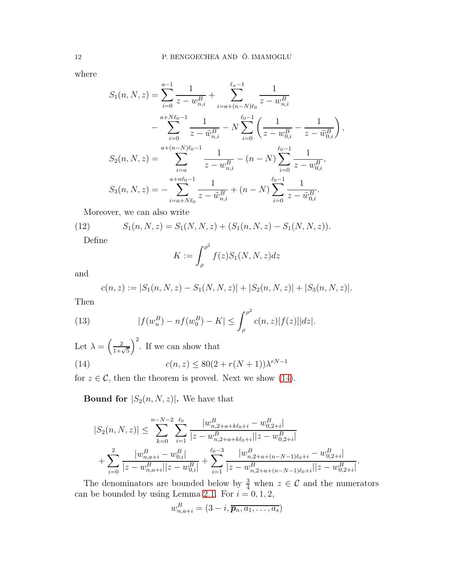where

$$
S_{1}(n, N, z) = \sum_{i=0}^{a-1} \frac{1}{z - w_{n,i}^{B}} + \sum_{i=a+(n-N)\ell_{0}}^{\ell_{n}-1} \frac{1}{z - w_{n,i}^{B}}
$$
  

$$
- \sum_{i=0}^{a+N\ell_{0}-1} \frac{1}{z - \tilde{w}_{n,i}^{B}} - N \sum_{i=0}^{\ell_{0}-1} \left( \frac{1}{z - w_{0,i}^{B}} - \frac{1}{z - \tilde{w}_{0,i}^{B}} \right),
$$
  

$$
S_{2}(n, N, z) = \sum_{i=a}^{a+(n-N)\ell_{0}-1} \frac{1}{z - w_{n,i}^{B}} - (n - N) \sum_{i=0}^{\ell_{0}-1} \frac{1}{z - w_{0,i}^{B}},
$$
  

$$
S_{3}(n, N, z) = - \sum_{i=a+N\ell_{0}}^{a+n\ell_{0}-1} \frac{1}{z - \tilde{w}_{n,i}^{B}} + (n - N) \sum_{i=0}^{\ell_{0}-1} \frac{1}{z - \tilde{w}_{0,i}^{B}}.
$$

Moreover, we can also write

(12) 
$$
S_1(n, N, z) = S_1(N, N, z) + (S_1(n, N, z) - S_1(N, N, z)).
$$

Define

$$
K := \int_{\rho}^{\rho^2} f(z) S_1(N, N, z) dz
$$

and

$$
c(n, z) := |S_1(n, N, z) - S_1(N, N, z)| + |S_2(n, N, z)| + |S_3(n, N, z)|.
$$

Then

(13) 
$$
|f(w_n^B) - nf(w_0^B) - K| \leq \int_{\rho}^{\rho^2} c(n, z) |f(z)| |dz|.
$$

Let  $\lambda = \left(\frac{2}{1+\sqrt{5}}\right)$  $\int_{0}^{2}$ . If we can show that (14)  $c(n, z) \le 80(2 + r(N + 1))\lambda^{rN - 1}$ 

for  $z \in \mathcal{C}$ , then the theorem is proved. Next we show [\(14\)](#page-11-0).

<span id="page-11-0"></span>**Bound for**  $|S_2(n, N, z)|$ . We have that

$$
|S_2(n, N, z)| \leq \sum_{k=0}^{n-N-2} \sum_{i=1}^{\ell_0} \frac{|w_{n,2+a+ k\ell_0+i}^B - w_{0,2+i}^B|}{|z - w_{n,2+a+ k\ell_0+i}^B||z - w_{0,2+i}^B|} + \sum_{i=0}^2 \frac{|w_{n,a+i}^B - w_{0,i}^B|}{|z - w_{n,a+i}^B||z - w_{0,i}^B|} + \sum_{i=1}^{\ell_0-3} \frac{|w_{n,2+a+(n-N-1)\ell_0+i}^B - w_{0,2+i}^B|}{|z - w_{n,2+a+(n-N-1)\ell_0+i}^B||z - w_{0,2+i}^B|}.
$$

The denominators are bounded below by  $\frac{3}{4}$  when  $z \in \mathcal{C}$  and the numerators can be bounded by using Lemma [2.1.](#page-5-1) For  $i = 0, 1, 2$ ,

$$
w_{n,a+i}^B = (3-i, \overline{p_n, a_1, \ldots, a_s})
$$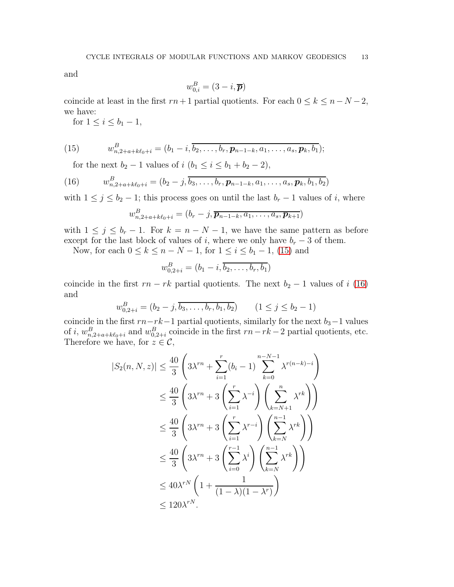and

$$
w_{0,i}^B = (3-i, \overline{\boldsymbol{p}})
$$

coincide at least in the first  $rn+1$  partial quotients. For each  $0 \leq k \leq n-N-2$ , we have:

for  $1 \leq i \leq b_1 - 1$ ,

(15) 
$$
w_{n,2+a+k\ell_0+i}^B = (b_1 - i, \overline{b_2, \ldots, b_r, p_{n-1-k}, a_1, \ldots, a_s, p_k, b_1});
$$

<span id="page-12-1"></span><span id="page-12-0"></span>for the next  $b_2 - 1$  values of  $i$   $(b_1 \le i \le b_1 + b_2 - 2)$ ,

(16) 
$$
w_{n,2+a+k\ell_0+i}^B = (b_2-j,\overline{b_3,\ldots,b_r},p_{n-1-k},a_1,\ldots,a_s,p_k,b_1,b_2)
$$

with  $1 \leq j \leq b_2 - 1$ ; this process goes on until the last  $b_r - 1$  values of i, where

$$
w_{n,2+a+k\ell_0+i}^B=(b_r-j,\overline{\boldsymbol{p}_{n-1-k},a_1,\ldots,a_s,\boldsymbol{p}_{k+1}})
$$

with  $1 \leq j \leq b_r - 1$ . For  $k = n - N - 1$ , we have the same pattern as before except for the last block of values of i, where we only have  $b_r - 3$  of them.

Now, for each  $0 \le k \le n - N - 1$ , for  $1 \le i \le b_1 - 1$ , [\(15\)](#page-12-0) and

$$
w_{0,2+i}^B = (b_1 - i, \overline{b_2, \ldots, b_r, b_1})
$$

coincide in the first  $rn - rk$  partial quotients. The next  $b_2 - 1$  values of i [\(16\)](#page-12-1) and

$$
w_{0,2+i}^B = (b_2 - j, \overline{b_3, \dots, b_r, b_1, b_2}) \qquad (1 \le j \le b_2 - 1)
$$

coincide in the first  $rn-rk-1$  partial quotients, similarly for the next  $b_3-1$  values of i,  $w_{n,2+a+k\ell_0+i}^B$  and  $w_{0,2+i}^B$  coincide in the first  $rn-rk-2$  partial quotients, etc. Therefore we have, for  $z \in \mathcal{C}$ ,

$$
|S_2(n, N, z)| \le \frac{40}{3} \left( 3\lambda^{rn} + \sum_{i=1}^r (b_i - 1) \sum_{k=0}^{n-N-1} \lambda^{r(n-k)-i} \right)
$$
  

$$
\le \frac{40}{3} \left( 3\lambda^{rn} + 3 \left( \sum_{i=1}^r \lambda^{-i} \right) \left( \sum_{k=N+1}^n \lambda^{rk} \right) \right)
$$
  

$$
\le \frac{40}{3} \left( 3\lambda^{rn} + 3 \left( \sum_{i=1}^r \lambda^{r-i} \right) \left( \sum_{k=N}^{n-1} \lambda^{rk} \right) \right)
$$
  

$$
\le \frac{40}{3} \left( 3\lambda^{rn} + 3 \left( \sum_{i=0}^{r-1} \lambda^{i} \right) \left( \sum_{k=N}^{n-1} \lambda^{rk} \right) \right)
$$
  

$$
\le 40\lambda^{rN} \left( 1 + \frac{1}{(1 - \lambda)(1 - \lambda^{r})} \right)
$$
  

$$
\le 120\lambda^{rN}.
$$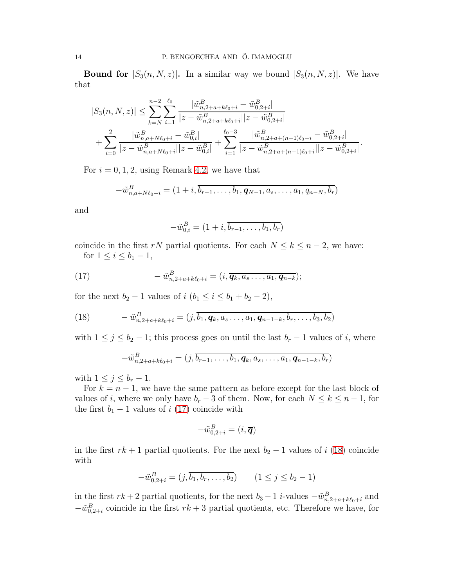**Bound for**  $|S_3(n, N, z)|$ . In a similar way we bound  $|S_3(n, N, z)|$ . We have that

$$
|S_3(n, N, z)| \leq \sum_{k=N}^{n-2} \sum_{i=1}^{\ell_0} \frac{|\tilde{w}_{n,2+a+k\ell_0+i}^B - \tilde{w}_{0,2+i}^B|}{|z - \tilde{w}_{n,2+a+k\ell_0+i}^B||z - \tilde{w}_{0,2+i}^B|} + \sum_{i=0}^2 \frac{|\tilde{w}_{n,a+N\ell_0+i}^B - \tilde{w}_{0,i}^B|}{|z - \tilde{w}_{n,a+N\ell_0+i}^B||z - \tilde{w}_{0,i}^B|} + \sum_{i=1}^{\ell_0-3} \frac{|\tilde{w}_{n,2+a+(n-1)\ell_0+i}^B - \tilde{w}_{0,2+i}^B|}{|z - \tilde{w}_{n,2+a+(n-1)\ell_0+i}^B||z - \tilde{w}_{0,2+i}^B|}.
$$

For  $i = 0, 1, 2$ , using Remark [4.2,](#page-10-1) we have that

$$
-\tilde{w}_{n,a+N\ell_0+i}^B=(1+i,\overline{b_{r-1},\ldots,b_1,\mathbf{q}_{N-1},a_s,\ldots,a_1,q_{n-N},b_r})
$$

and

<span id="page-13-0"></span>
$$
-\tilde{w}_{0,i}^B = (1+i, \overline{b_{r-1}, \ldots, b_1, b_r})
$$

coincide in the first rN partial quotients. For each  $N \leq k \leq n-2$ , we have: for  $1 \leq i \leq b_1 - 1$ ,

(17) 
$$
-\tilde{w}_{n,2+a+k\ell_0+i}^B=(i,\overline{\boldsymbol{q}_k,a_s\ldots,a_1,\boldsymbol{q}_{n-k}});
$$

for the next  $b_2 - 1$  values of  $i$   $(b_1 \le i \le b_1 + b_2 - 2)$ ,

(18) 
$$
- \tilde{w}_{n,2+a+k\ell_0+i}^B = (j, \overline{b_1, q_k, a_s \dots, a_1, q_{n-1-k}, b_r, \dots, b_3, b_2})
$$

with  $1 \leq j \leq b_2 - 1$ ; this process goes on until the last  $b_r - 1$  values of i, where

<span id="page-13-1"></span>
$$
-\tilde{w}_{n,2+a+k\ell_0+i}^B = (j,\overline{b_{r-1},\ldots,b_1},\mathbf{q}_k,a_s,\ldots,a_1,\mathbf{q}_{n-1-k},\overline{b_r})
$$

with  $1 \leq j \leq b_r - 1$ .

For  $k = n - 1$ , we have the same pattern as before except for the last block of values of i, where we only have  $b_r - 3$  of them. Now, for each  $N \leq k \leq n-1$ , for the first  $b_1 - 1$  values of i [\(17\)](#page-13-0) coincide with

$$
-\tilde{w}_{0,2+i}^B=(i,\overline{\boldsymbol{q}})
$$

in the first  $rk + 1$  partial quotients. For the next  $b_2 - 1$  values of i [\(18\)](#page-13-1) coincide with

$$
-\tilde{w}_{0,2+i}^B = (j, \overline{b_1, b_r, \dots, b_2}) \qquad (1 \le j \le b_2 - 1)
$$

in the first  $rk + 2$  partial quotients, for the next  $b_3 - 1$  i-values  $-\tilde{w}_{n,2+a+k\ell_0+i}^B$  and  $-\tilde{w}_{0,2+i}^B$  coincide in the first  $rk+3$  partial quotients, etc. Therefore we have, for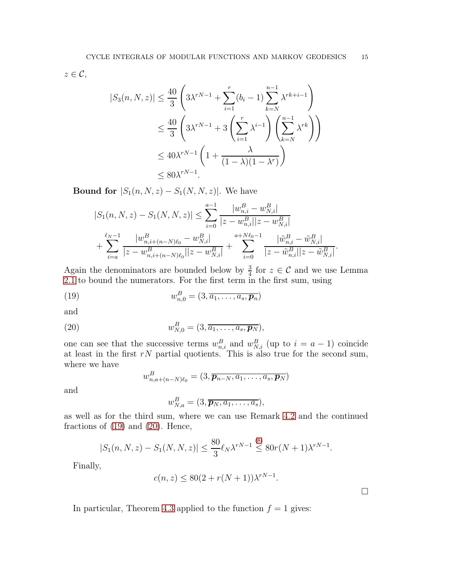$z \in \mathcal{C}$ ,

$$
|S_3(n, N, z)| \le \frac{40}{3} \left( 3\lambda^{rN-1} + \sum_{i=1}^r (b_i - 1) \sum_{k=N}^{n-1} \lambda^{rk+i-1} \right)
$$
  

$$
\le \frac{40}{3} \left( 3\lambda^{rN-1} + 3 \left( \sum_{i=1}^r \lambda^{i-1} \right) \left( \sum_{k=N}^{n-1} \lambda^{rk} \right) \right)
$$
  

$$
\le 40\lambda^{rN-1} \left( 1 + \frac{\lambda}{(1 - \lambda)(1 - \lambda^r)} \right)
$$
  

$$
\le 80\lambda^{rN-1}.
$$

**Bound for**  $|S_1(n, N, z) - S_1(N, N, z)|$ . We have

$$
|S_1(n, N, z) - S_1(N, N, z)| \leq \sum_{i=0}^{a-1} \frac{|w_{n,i}^B - w_{N,i}^B|}{|z - w_{n,i}^B||z - w_{N,i}^B|} + \sum_{i=a}^{\ell_N - 1} \frac{|w_{n,i+(n-N)\ell_0}^B - w_{N,i}^B|}{|z - w_{n,i+(n-N)\ell_0}^B||z - w_{N,i}^B|} + \sum_{i=0}^{a+N\ell_0 - 1} \frac{|\tilde{w}_{n,i}^B - \tilde{w}_{N,i}^B|}{|z - \tilde{w}_{n,i}^B||z - \tilde{w}_{N,i}^B|}
$$

Again the denominators are bounded below by  $\frac{3}{4}$  for  $z \in \mathcal{C}$  and we use Lemma [2.1](#page-5-1) to bound the numerators. For the first term in the first sum, using

(19) 
$$
w_{n,0}^B = (3, \overline{a_1, \ldots, a_s, \mathbf{p}_n})
$$

and

(20) 
$$
w_{N,0}^B = (3, \overline{a_1, \ldots, a_s, \mathbf{p}_N}),
$$

one can see that the successive terms  $w_{n,i}^B$  and  $w_{N,i}^B$  (up to  $i = a - 1$ ) coincide at least in the first  $rN$  partial quotients. This is also true for the second sum, where we have

<span id="page-14-1"></span><span id="page-14-0"></span>
$$
w_{n,a+(n-N)\ell_0}^B=(3,\overline{\boldsymbol{p}_{n-N},a_1,\ldots,a_s,\boldsymbol{p}_N})
$$

and

$$
w_{N,a}^B = (3, \overline{p_N, a_1, \ldots, a_s}),
$$

as well as for the third sum, where we can use Remark [4.2](#page-10-1) and the continued fractions of  $(19)$  and  $(20)$ . Hence,

$$
|S_1(n, N, z) - S_1(N, N, z)| \le \frac{80}{3} \ell_N \lambda^{rN - 1} \stackrel{(8)}{\le} 80r(N + 1)\lambda^{rN - 1}.
$$

Finally,

$$
c(n, z) \le 80(2 + r(N + 1))\lambda^{rN - 1}.
$$

 $\Box$ 

.

In particular, Theorem [4.3](#page-10-0) applied to the function  $f = 1$  gives: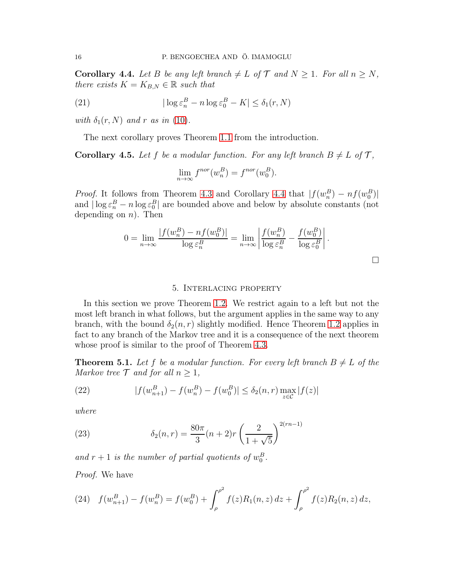<span id="page-15-0"></span>**Corollary 4.4.** Let B be any left branch  $\neq L$  of  $\mathcal{T}$  and  $N \geq 1$ . For all  $n \geq N$ , *there exists*  $K = K_{B,N} \in \mathbb{R}$  *such that* 

(21) 
$$
|\log \varepsilon_n^B - n \log \varepsilon_0^B - K| \leq \delta_1(r, N)
$$

*with*  $\delta_1(r, N)$  *and r as in* [\(10\)](#page-10-2).

The next corollary proves Theorem [1.1](#page-3-0) from the introduction.

<span id="page-15-3"></span>**Corollary 4.5.** Let f be a modular function. For any left branch  $B \neq L$  of T,

$$
\lim_{n \to \infty} f^{nor}(w_n^B) = f^{nor}(w_0^B).
$$

*Proof.* It follows from Theorem [4.3](#page-10-0) and Corollary [4.4](#page-15-0) that  $|f(w_n^B) - nf(w_0^B)|$ and  $|\log \varepsilon_n^B - n \log \varepsilon_0^B|$  are bounded above and below by absolute constants (not depending on  $n$ ). Then

$$
0 = \lim_{n \to \infty} \frac{|f(w_n^B) - nf(w_0^B)|}{\log \varepsilon_n^B} = \lim_{n \to \infty} \left| \frac{f(w_n^B)}{\log \varepsilon_n^B} - \frac{f(w_0^B)}{\log \varepsilon_0^B} \right|.
$$

 $\Box$ 

#### 5. Interlacing property

In this section we prove Theorem [1.2.](#page-3-1) We restrict again to a left but not the most left branch in what follows, but the argument applies in the same way to any branch, with the bound  $\delta_2(n,r)$  slightly modified. Hence Theorem [1.2](#page-3-1) applies in fact to any branch of the Markov tree and it is a consequence of the next theorem whose proof is similar to the proof of Theorem [4.3.](#page-10-0)

<span id="page-15-1"></span>**Theorem 5.1.** Let f be a modular function. For every left branch  $B \neq L$  of the *Markov tree*  $\mathcal{T}$  *and for all*  $n \geq 1$ *,* 

(22) 
$$
|f(w_{n+1}^B) - f(w_n^B) - f(w_0^B)| \le \delta_2(n,r) \max_{z \in \mathcal{C}} |f(z)|
$$

*where*

<span id="page-15-2"></span>(23) 
$$
\delta_2(n,r) = \frac{80\pi}{3}(n+2)r\left(\frac{2}{1+\sqrt{5}}\right)^{2(rn-1)}
$$

and  $r + 1$  is the number of partial quotients of  $w_0^B$ .

*Proof.* We have

(24) 
$$
f(w_{n+1}^B) - f(w_n^B) = f(w_0^B) + \int_{\rho}^{\rho^2} f(z)R_1(n,z) dz + \int_{\rho}^{\rho^2} f(z)R_2(n,z) dz,
$$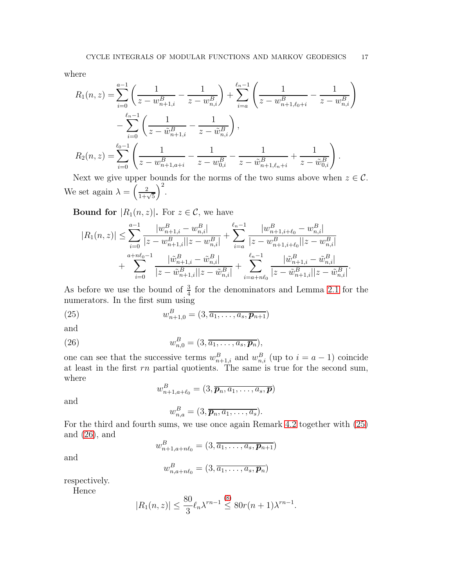where

$$
R_1(n, z) = \sum_{i=0}^{a-1} \left( \frac{1}{z - w_{n+1,i}^B} - \frac{1}{z - w_{n,i}^B} \right) + \sum_{i=a}^{\ell_n - 1} \left( \frac{1}{z - w_{n+1,\ell_0+i}^B} - \frac{1}{z - w_{n,i}^B} \right)
$$

$$
- \sum_{i=0}^{\ell_n - 1} \left( \frac{1}{z - \tilde{w}_{n+1,i}^B} - \frac{1}{z - \tilde{w}_{n,i}^B} \right),
$$

$$
R_2(n, z) = \sum_{i=0}^{\ell_0 - 1} \left( \frac{1}{z - w_{n+1,a+i}^B} - \frac{1}{z - w_{0,i}^B} - \frac{1}{z - \tilde{w}_{n+1,\ell_n+i}^B} + \frac{1}{z - \tilde{w}_{0,i}^B} \right).
$$

Next we give upper bounds for the norms of the two sums above when  $z \in \mathcal{C}$ . We set again  $\lambda = \left(\frac{2}{1+\sqrt{5}}\right)$  $\big)^2$ .

**Bound for**  $|R_1(n, z)|$ . For  $z \in \mathcal{C}$ , we have

$$
|R_1(n,z)| \leq \sum_{i=0}^{a-1} \frac{|w_{n+1,i}^B - w_{n,i}^B|}{|z - w_{n+1,i}^B||z - w_{n,i}^B|} + \sum_{i=a}^{\ell_n - 1} \frac{|w_{n+1,i+\ell_0}^B - w_{n,i}^B|}{|z - w_{n+1,i+\ell_0}^B||z - w_{n,i}^B|} + \sum_{i=0}^{a+n\ell_0 - 1} \frac{|\tilde{w}_{n+1,i}^B - \tilde{w}_{n,i}^B|}{|z - \tilde{w}_{n+1,i}^B||z - \tilde{w}_{n,i}^B|} + \sum_{i=a+n\ell_0}^{\ell_n - 1} \frac{|\tilde{w}_{n+1,i}^B - \tilde{w}_{n,i}^B|}{|z - \tilde{w}_{n+1,i}^B||z - \tilde{w}_{n,i}^B|}.
$$

As before we use the bound of  $\frac{3}{4}$  for the denominators and Lemma [2.1](#page-5-1) for the numerators. In the first sum using

(25) 
$$
w_{n+1,0}^{B} = (3, \overline{a_1, \ldots, a_s, p_{n+1}})
$$

and

(26) 
$$
w_{n,0}^B = (3, \overline{a_1, \ldots, a_s, \mathbf{p}_n}),
$$

one can see that the successive terms  $w_{n+1,i}^B$  and  $w_{n,i}^B$  (up to  $i = a - 1$ ) coincide at least in the first  $rn$  partial quotients. The same is true for the second sum, where

<span id="page-16-1"></span><span id="page-16-0"></span>
$$
w_{n+1,a+\ell_0}^B = (3, \overline{\boldsymbol{p}_n, a_1, \ldots, a_s, \boldsymbol{p}})
$$

and

$$
w_{n,a}^B=(3,\overline{p_n,a_1,\ldots,a_s}).
$$

For the third and fourth sums, we use once again Remark [4.2](#page-10-1) together with [\(25\)](#page-16-0) and [\(26\)](#page-16-1), and

$$
w_{n+1,a+n\ell_0}^B = (3, \overline{a_1, \ldots, a_s, \mathbf{p}_{n+1}})
$$

and

$$
w_{n,a+n\ell_0}^B = (3,\overline{a_1,\ldots,a_s,\boldsymbol{p}_n})
$$

respectively.

Hence

$$
|R_1(n,z)| \le \frac{80}{3} \ell_n \lambda^{rn-1} \stackrel{(8)}{\le} 80r(n+1)\lambda^{rn-1}.
$$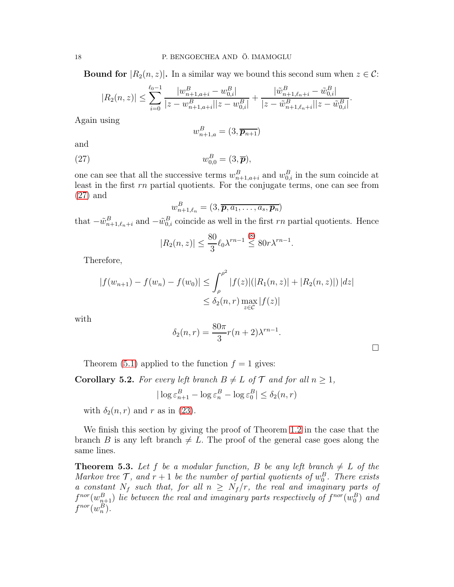**Bound for**  $|R_2(n, z)|$ . In a similar way we bound this second sum when  $z \in C$ :

$$
|R_2(n,z)| \leq \sum_{i=0}^{\ell_0 - 1} \frac{|w_{n+1,a+i}^B - w_{0,i}^B|}{|z - w_{n+1,a+i}^B||z - w_{0,i}^B|} + \frac{|\tilde{w}_{n+1,\ell_n+i}^B - \tilde{w}_{0,i}^B|}{|z - \tilde{w}_{n+1,\ell_n+i}^B||z - \tilde{w}_{0,i}^B|}.
$$

Again using

<span id="page-17-0"></span>
$$
w_{n+1,a}^B = (3, \overline{p_{n+1}})
$$

and

$$
(27) \t\t\t w_{0,0}^B = (3,\overline{\boldsymbol{p}}),
$$

one can see that all the successive terms  $w_{n+1,a+i}^B$  and  $w_{0,i}^B$  in the sum coincide at least in the first rn partial quotients. For the conjugate terms, one can see from [\(27\)](#page-17-0) and

$$
w_{n+1,\ell_n}^B = (3, \overline{\boldsymbol{p}, a_1, \ldots, a_s, \boldsymbol{p}_n})
$$

that  $-\tilde{w}_{n+1,\ell_n+i}^B$  and  $-\tilde{w}_{0,i}^B$  coincide as well in the first rn partial quotients. Hence

$$
|R_2(n,z)| \le \frac{80}{3} \ell_0 \lambda^{rn-1} \stackrel{(8)}{\le} 80 r \lambda^{rn-1}.
$$

Therefore,

$$
|f(w_{n+1}) - f(w_n) - f(w_0)| \le \int_{\rho}^{\rho^2} |f(z)| (|R_1(n, z)| + |R_2(n, z)|) |dz|
$$
  

$$
\le \delta_2(n, r) \max_{z \in \mathcal{C}} |f(z)|
$$

with

$$
\delta_2(n,r) = \frac{80\pi}{3}r(n+2)\lambda^{rn-1}.
$$

Theorem [\(5.1\)](#page-15-1) applied to the function  $f = 1$  gives:

<span id="page-17-1"></span>**Corollary 5.2.** For every left branch  $B \neq L$  of  $\mathcal{T}$  and for all  $n \geq 1$ ,

$$
|\log \varepsilon_{n+1}^B - \log \varepsilon_n^B - \log \varepsilon_0^B| \le \delta_2(n, r)
$$

with  $\delta_2(n,r)$  and r as in [\(23\)](#page-15-2).

We finish this section by giving the proof of Theorem [1.2](#page-3-1) in the case that the branch B is any left branch  $\neq L$ . The proof of the general case goes along the same lines.

**Theorem 5.3.** Let f be a modular function, B be any left branch  $\neq L$  of the *Markov tree*  $\mathcal{T}$ *, and*  $r + 1$  *be the number of partial quotients of*  $w_0^B$ *. There exists a constant*  $N_f$  *such that, for all*  $n \geq N_f/r$ *, the real and imaginary parts of*  $f^{nor}(w_{n+1}^B)$  lie between the real and imaginary parts respectively of  $f^{nor}(w_0^B)$  and  $f^{nor}(w_n^B)$ .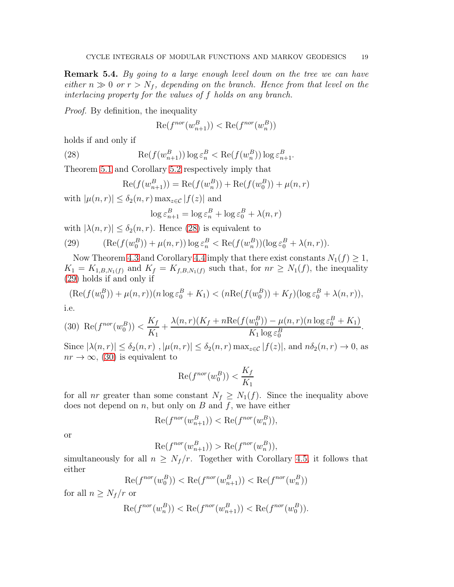Remark 5.4. *By going to a large enough level down on the tree we can have either*  $n \gg 0$  *or*  $r > N_f$ , depending on the branch. Hence from that level on the *interlacing property for the values of* f *holds on any branch.*

*Proof.* By definition, the inequality

<span id="page-18-0"></span>
$$
\operatorname{Re}(f^{nor}(w_{n+1}^B)) < \operatorname{Re}(f^{nor}(w_n^B))
$$

holds if and only if

(28) 
$$
\operatorname{Re}(f(w_{n+1}^B)) \log \varepsilon_n^B < \operatorname{Re}(f(w_n^B)) \log \varepsilon_{n+1}^B.
$$

Theorem [5.1](#page-15-1) and Corollary [5.2](#page-17-1) respectively imply that

$$
Re(f(w_{n+1}^B)) = Re(f(w_n^B)) + Re(f(w_0^B)) + \mu(n, r)
$$

with  $|\mu(n,r)| \leq \delta_2(n,r) \max_{z \in \mathcal{C}} |f(z)|$  and

$$
\log \varepsilon_{n+1}^B = \log \varepsilon_n^B + \log \varepsilon_0^B + \lambda(n, r)
$$

with  $|\lambda(n,r)| \leq \delta_2(n,r)$ . Hence [\(28\)](#page-18-0) is equivalent to

<span id="page-18-1"></span>(29) 
$$
(\text{Re}(f(w_0^B)) + \mu(n,r)) \log \varepsilon_n^B < \text{Re}(f(w_n^B)) (\log \varepsilon_0^B + \lambda(n,r)).
$$

Now Theorem [4.3](#page-10-0) and Corollary [4.4](#page-15-0) imply that there exist constants  $N_1(f) \geq 1$ ,  $K_1 = K_{1,B,N_1(f)}$  and  $K_f = K_{f,B,N_1(f)}$  such that, for  $nr \geq N_1(f)$ , the inequality [\(29\)](#page-18-1) holds if and only if

$$
(\text{Re}(f(w_0^B)) + \mu(n, r))(n \log \varepsilon_0^B + K_1) < (n \text{Re}(f(w_0^B)) + K_f)(\log \varepsilon_0^B + \lambda(n, r)),
$$
\ni.e.

<span id="page-18-2"></span>(30) 
$$
\operatorname{Re}(f^{nor}(w_0^B)) < \frac{K_f}{K_1} + \frac{\lambda(n,r)(K_f + n \operatorname{Re}(f(w_0^B)) - \mu(n,r)(n \log \varepsilon_0^B + K_1)}{K_1 \log \varepsilon_0^B}.
$$

Since  $|\lambda(n,r)| \leq \delta_2(n,r)$ ,  $|\mu(n,r)| \leq \delta_2(n,r) \max_{z \in \mathcal{C}} |f(z)|$ , and  $n\delta_2(n,r) \to 0$ , as  $nr \to \infty$ , [\(30\)](#page-18-2) is equivalent to

$$
\operatorname{Re}(f^{nor}(w_0^B)) < \frac{K_f}{K_1}
$$

for all nr greater than some constant  $N_f \geq N_1(f)$ . Since the inequality above does not depend on  $n$ , but only on  $B$  and  $f$ , we have either

$$
\operatorname{Re}(f^{nor}(w_{n+1}^B)) < \operatorname{Re}(f^{nor}(w_n^B)),
$$

or

$$
\operatorname{Re}(f^{nor}(w_{n+1}^B)) > \operatorname{Re}(f^{nor}(w_n^B)),
$$

simultaneously for all  $n \geq N_f/r$ . Together with Corollary [4.5,](#page-15-3) it follows that either

$$
\operatorname{Re}(f^{nor}(w_0^B)) < \operatorname{Re}(f^{nor}(w_{n+1}^B)) < \operatorname{Re}(f^{nor}(w_n^B))
$$

for all  $n \geq N_f/r$  or

$$
\mathrm{Re}(f^{nor}(w^B_n))<\mathrm{Re}(f^{nor}(w^B_{n+1}))<\mathrm{Re}(f^{nor}(w^B_0)).
$$